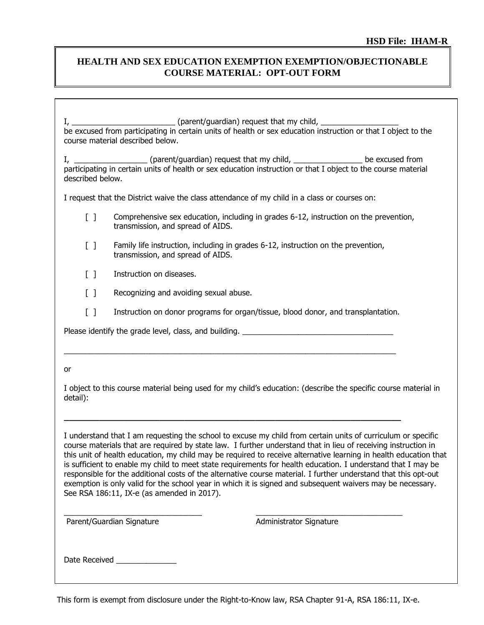## **HEALTH AND SEX EDUCATION EXEMPTION EXEMPTION/OBJECTIONABLE COURSE MATERIAL: OPT-OUT FORM**

 $I, \underline{\hspace{2cm}}$  (parent/guardian) request that my child,  $\underline{\hspace{2cm}}$ be excused from participating in certain units of health or sex education instruction or that I object to the course material described below.

I, \_\_\_\_\_\_\_\_\_\_\_\_\_\_\_\_\_\_\_\_\_(parent/guardian) request that my child, \_\_\_\_\_\_\_\_\_\_\_\_\_\_\_\_\_\_\_\_ be excused from participating in certain units of health or sex education instruction or that I object to the course material described below.

I request that the District waive the class attendance of my child in a class or courses on:

- [ ] Comprehensive sex education, including in grades 6-12, instruction on the prevention, transmission, and spread of AIDS.
- [ ] Family life instruction, including in grades 6-12, instruction on the prevention, transmission, and spread of AIDS.
- [ ] Instruction on diseases.
- [ ] Recognizing and avoiding sexual abuse.
- [ ] Instruction on donor programs for organ/tissue, blood donor, and transplantation.

 $\_$  , and the set of the set of the set of the set of the set of the set of the set of the set of the set of the set of the set of the set of the set of the set of the set of the set of the set of the set of the set of th

**\_\_\_\_\_\_\_\_\_\_\_\_\_\_\_\_\_\_\_\_\_\_\_\_\_\_\_\_\_\_\_\_\_\_\_\_\_\_\_\_\_\_\_\_\_\_\_\_\_\_\_\_\_\_\_\_\_\_\_\_\_\_\_\_\_\_\_**

\_\_\_\_\_\_\_\_\_\_\_\_\_\_\_\_\_\_\_\_\_\_\_\_\_\_\_\_\_\_\_\_ \_\_\_\_\_\_\_\_\_\_\_\_\_\_\_\_\_\_\_\_\_\_\_\_\_\_\_\_\_\_\_\_\_\_

Please identify the grade level, class, and building.

## or

I object to this course material being used for my child's education: (describe the specific course material in detail):

I understand that I am requesting the school to excuse my child from certain units of curriculum or specific course materials that are required by state law. I further understand that in lieu of receiving instruction in this unit of health education, my child may be required to receive alternative learning in health education that is sufficient to enable my child to meet state requirements for health education. I understand that I may be responsible for the additional costs of the alternative course material. I further understand that this opt-out exemption is only valid for the school year in which it is signed and subsequent waivers may be necessary. See RSA 186:11, IX-e (as amended in 2017).

Parent/Guardian Signature **Administrator Signature** Administrator Signature

Date Received \_\_\_\_\_\_\_\_\_\_\_\_\_\_

This form is exempt from disclosure under the Right-to-Know law, RSA Chapter 91-A, RSA 186:11, IX-e.